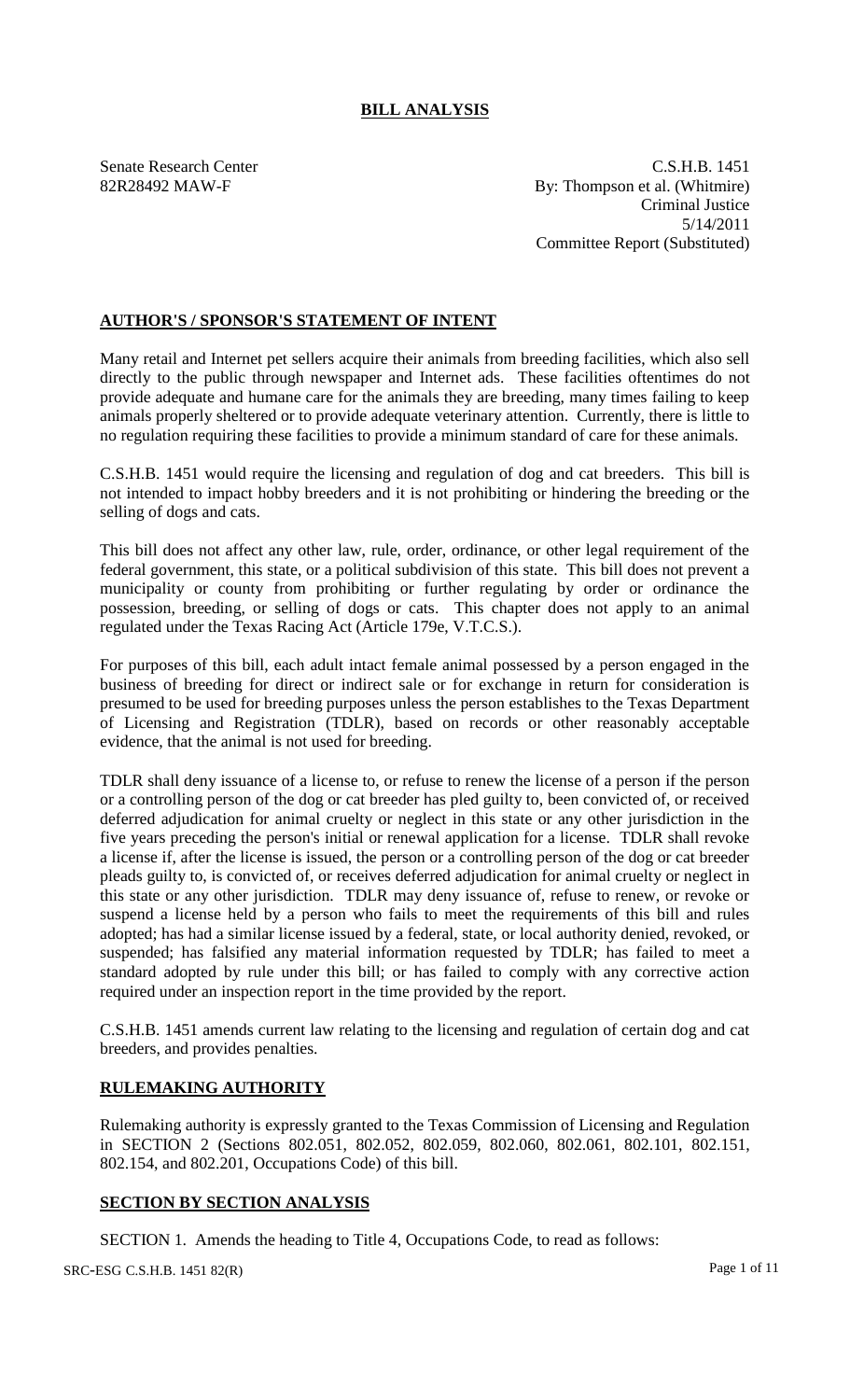# **BILL ANALYSIS**

Senate Research Center C.S.H.B. 1451 82R28492 MAW-F By: Thompson et al. (Whitmire) Criminal Justice 5/14/2011 Committee Report (Substituted)

# **AUTHOR'S / SPONSOR'S STATEMENT OF INTENT**

Many retail and Internet pet sellers acquire their animals from breeding facilities, which also sell directly to the public through newspaper and Internet ads. These facilities oftentimes do not provide adequate and humane care for the animals they are breeding, many times failing to keep animals properly sheltered or to provide adequate veterinary attention. Currently, there is little to no regulation requiring these facilities to provide a minimum standard of care for these animals.

C.S.H.B. 1451 would require the licensing and regulation of dog and cat breeders. This bill is not intended to impact hobby breeders and it is not prohibiting or hindering the breeding or the selling of dogs and cats.

This bill does not affect any other law, rule, order, ordinance, or other legal requirement of the federal government, this state, or a political subdivision of this state. This bill does not prevent a municipality or county from prohibiting or further regulating by order or ordinance the possession, breeding, or selling of dogs or cats. This chapter does not apply to an animal regulated under the Texas Racing Act (Article 179e, V.T.C.S.).

For purposes of this bill, each adult intact female animal possessed by a person engaged in the business of breeding for direct or indirect sale or for exchange in return for consideration is presumed to be used for breeding purposes unless the person establishes to the Texas Department of Licensing and Registration (TDLR), based on records or other reasonably acceptable evidence, that the animal is not used for breeding.

TDLR shall deny issuance of a license to, or refuse to renew the license of a person if the person or a controlling person of the dog or cat breeder has pled guilty to, been convicted of, or received deferred adjudication for animal cruelty or neglect in this state or any other jurisdiction in the five years preceding the person's initial or renewal application for a license. TDLR shall revoke a license if, after the license is issued, the person or a controlling person of the dog or cat breeder pleads guilty to, is convicted of, or receives deferred adjudication for animal cruelty or neglect in this state or any other jurisdiction. TDLR may deny issuance of, refuse to renew, or revoke or suspend a license held by a person who fails to meet the requirements of this bill and rules adopted; has had a similar license issued by a federal, state, or local authority denied, revoked, or suspended; has falsified any material information requested by TDLR; has failed to meet a standard adopted by rule under this bill; or has failed to comply with any corrective action required under an inspection report in the time provided by the report.

C.S.H.B. 1451 amends current law relating to the licensing and regulation of certain dog and cat breeders, and provides penalties.

# **RULEMAKING AUTHORITY**

Rulemaking authority is expressly granted to the Texas Commission of Licensing and Regulation in SECTION 2 (Sections 802.051, 802.052, 802.059, 802.060, 802.061, 802.101, 802.151, 802.154, and 802.201, Occupations Code) of this bill.

## **SECTION BY SECTION ANALYSIS**

SECTION 1. Amends the heading to Title 4, Occupations Code, to read as follows: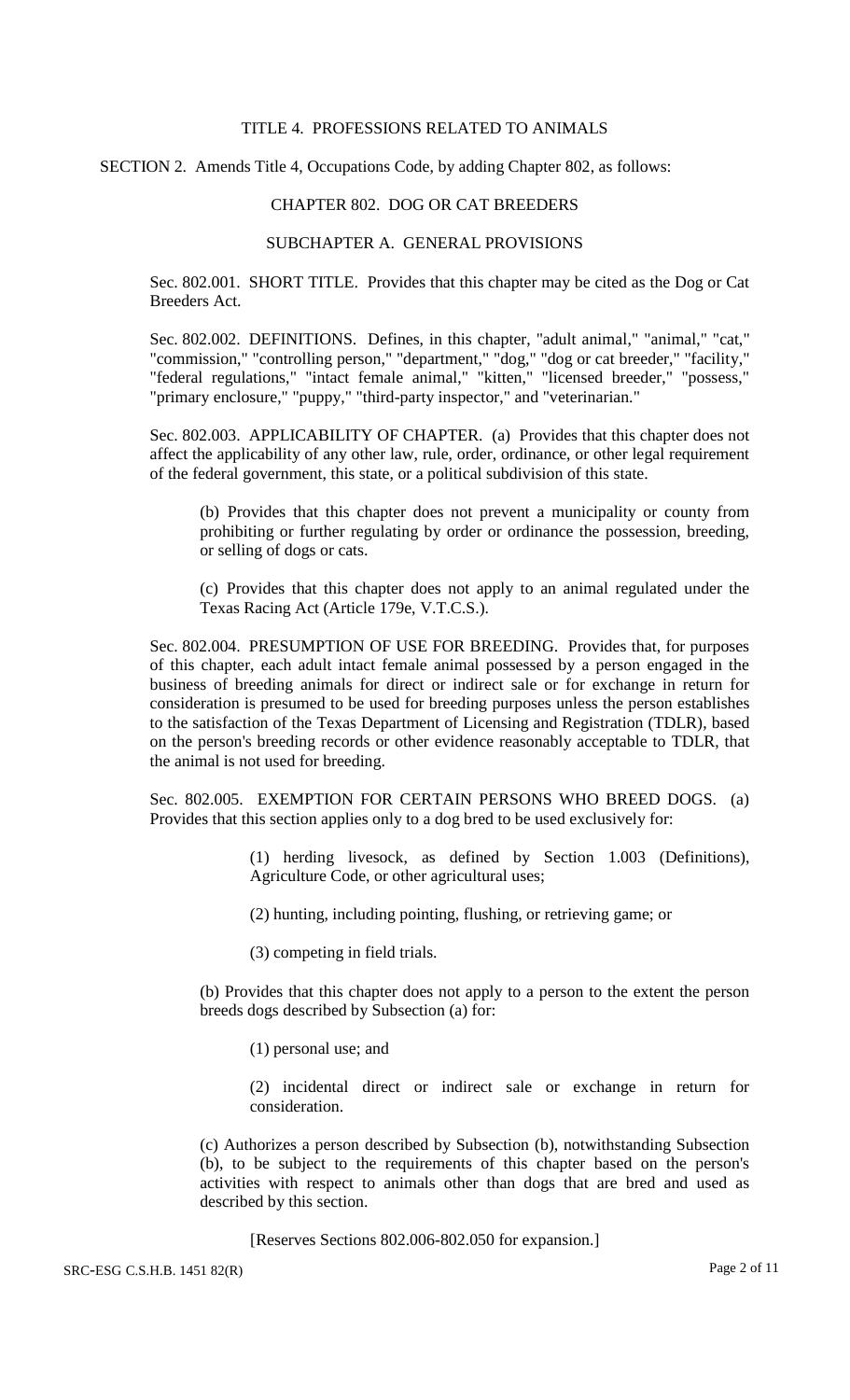## TITLE 4. PROFESSIONS RELATED TO ANIMALS

SECTION 2. Amends Title 4, Occupations Code, by adding Chapter 802, as follows:

#### CHAPTER 802. DOG OR CAT BREEDERS

### SUBCHAPTER A. GENERAL PROVISIONS

Sec. 802.001. SHORT TITLE. Provides that this chapter may be cited as the Dog or Cat Breeders Act.

Sec. 802.002. DEFINITIONS. Defines, in this chapter, "adult animal," "animal," "cat," "commission," "controlling person," "department," "dog," "dog or cat breeder," "facility," "federal regulations," "intact female animal," "kitten," "licensed breeder," "possess," "primary enclosure," "puppy," "third-party inspector," and "veterinarian."

Sec. 802.003. APPLICABILITY OF CHAPTER. (a) Provides that this chapter does not affect the applicability of any other law, rule, order, ordinance, or other legal requirement of the federal government, this state, or a political subdivision of this state.

(b) Provides that this chapter does not prevent a municipality or county from prohibiting or further regulating by order or ordinance the possession, breeding, or selling of dogs or cats.

(c) Provides that this chapter does not apply to an animal regulated under the Texas Racing Act (Article 179e, V.T.C.S.).

Sec. 802.004. PRESUMPTION OF USE FOR BREEDING. Provides that, for purposes of this chapter, each adult intact female animal possessed by a person engaged in the business of breeding animals for direct or indirect sale or for exchange in return for consideration is presumed to be used for breeding purposes unless the person establishes to the satisfaction of the Texas Department of Licensing and Registration (TDLR), based on the person's breeding records or other evidence reasonably acceptable to TDLR, that the animal is not used for breeding.

Sec. 802.005. EXEMPTION FOR CERTAIN PERSONS WHO BREED DOGS. (a) Provides that this section applies only to a dog bred to be used exclusively for:

> (1) herding livesock, as defined by Section 1.003 (Definitions), Agriculture Code, or other agricultural uses;

(2) hunting, including pointing, flushing, or retrieving game; or

(3) competing in field trials.

(b) Provides that this chapter does not apply to a person to the extent the person breeds dogs described by Subsection (a) for:

(1) personal use; and

(2) incidental direct or indirect sale or exchange in return for consideration.

(c) Authorizes a person described by Subsection (b), notwithstanding Subsection (b), to be subject to the requirements of this chapter based on the person's activities with respect to animals other than dogs that are bred and used as described by this section.

[Reserves Sections 802.006-802.050 for expansion.]

SRC-ESG C.S.H.B. 1451 82(R) Page 2 of 11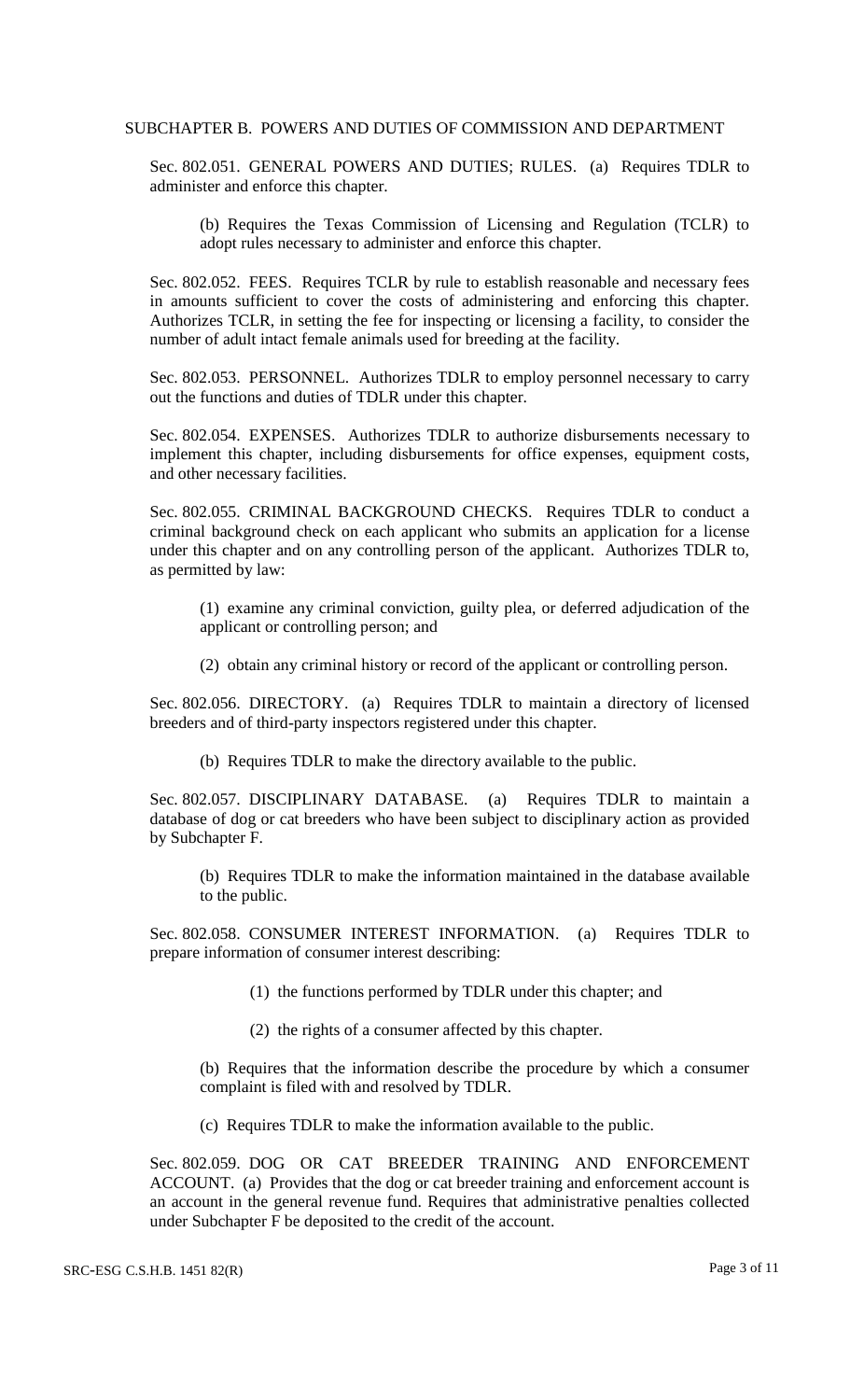### SUBCHAPTER B. POWERS AND DUTIES OF COMMISSION AND DEPARTMENT

Sec. 802.051. GENERAL POWERS AND DUTIES; RULES. (a) Requires TDLR to administer and enforce this chapter.

(b) Requires the Texas Commission of Licensing and Regulation (TCLR) to adopt rules necessary to administer and enforce this chapter.

Sec. 802.052. FEES. Requires TCLR by rule to establish reasonable and necessary fees in amounts sufficient to cover the costs of administering and enforcing this chapter. Authorizes TCLR, in setting the fee for inspecting or licensing a facility, to consider the number of adult intact female animals used for breeding at the facility.

Sec. 802.053. PERSONNEL. Authorizes TDLR to employ personnel necessary to carry out the functions and duties of TDLR under this chapter.

Sec. 802.054. EXPENSES. Authorizes TDLR to authorize disbursements necessary to implement this chapter, including disbursements for office expenses, equipment costs, and other necessary facilities.

Sec. 802.055. CRIMINAL BACKGROUND CHECKS. Requires TDLR to conduct a criminal background check on each applicant who submits an application for a license under this chapter and on any controlling person of the applicant. Authorizes TDLR to, as permitted by law:

(1) examine any criminal conviction, guilty plea, or deferred adjudication of the applicant or controlling person; and

(2) obtain any criminal history or record of the applicant or controlling person.

Sec. 802.056. DIRECTORY. (a) Requires TDLR to maintain a directory of licensed breeders and of third-party inspectors registered under this chapter.

(b) Requires TDLR to make the directory available to the public.

Sec. 802.057. DISCIPLINARY DATABASE. (a) Requires TDLR to maintain a database of dog or cat breeders who have been subject to disciplinary action as provided by Subchapter F.

(b) Requires TDLR to make the information maintained in the database available to the public.

Sec. 802.058. CONSUMER INTEREST INFORMATION. (a) Requires TDLR to prepare information of consumer interest describing:

(1) the functions performed by TDLR under this chapter; and

(2) the rights of a consumer affected by this chapter.

(b) Requires that the information describe the procedure by which a consumer complaint is filed with and resolved by TDLR.

(c) Requires TDLR to make the information available to the public.

Sec. 802.059. DOG OR CAT BREEDER TRAINING AND ENFORCEMENT ACCOUNT. (a) Provides that the dog or cat breeder training and enforcement account is an account in the general revenue fund. Requires that administrative penalties collected under Subchapter F be deposited to the credit of the account.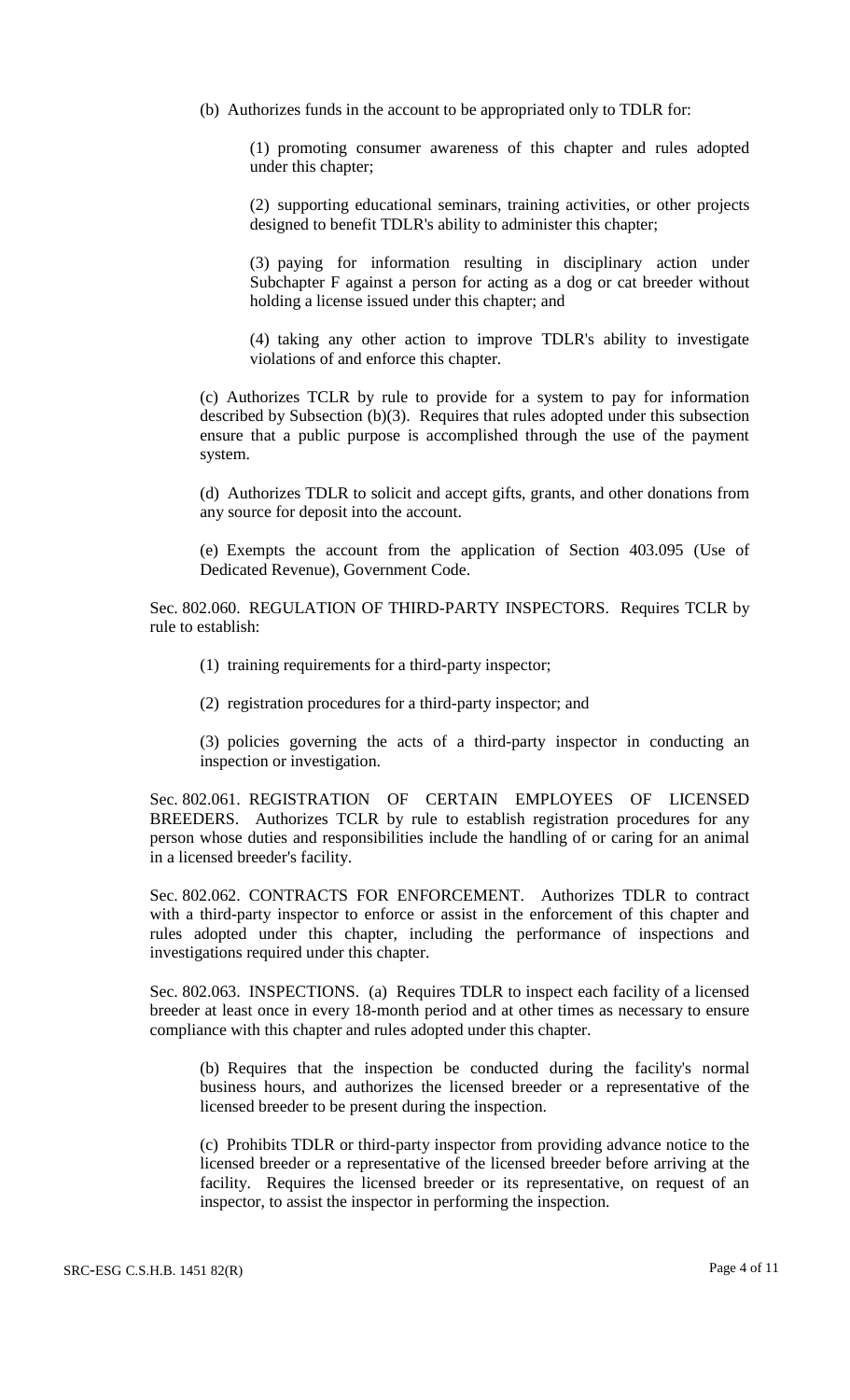(b) Authorizes funds in the account to be appropriated only to TDLR for:

(1) promoting consumer awareness of this chapter and rules adopted under this chapter;

(2) supporting educational seminars, training activities, or other projects designed to benefit TDLR's ability to administer this chapter;

(3) paying for information resulting in disciplinary action under Subchapter F against a person for acting as a dog or cat breeder without holding a license issued under this chapter; and

(4) taking any other action to improve TDLR's ability to investigate violations of and enforce this chapter.

(c) Authorizes TCLR by rule to provide for a system to pay for information described by Subsection (b)(3). Requires that rules adopted under this subsection ensure that a public purpose is accomplished through the use of the payment system.

(d) Authorizes TDLR to solicit and accept gifts, grants, and other donations from any source for deposit into the account.

(e) Exempts the account from the application of Section 403.095 (Use of Dedicated Revenue), Government Code.

Sec. 802.060. REGULATION OF THIRD-PARTY INSPECTORS. Requires TCLR by rule to establish:

- (1) training requirements for a third-party inspector;
- (2) registration procedures for a third-party inspector; and

(3) policies governing the acts of a third-party inspector in conducting an inspection or investigation.

Sec. 802.061. REGISTRATION OF CERTAIN EMPLOYEES OF LICENSED BREEDERS. Authorizes TCLR by rule to establish registration procedures for any person whose duties and responsibilities include the handling of or caring for an animal in a licensed breeder's facility.

Sec. 802.062. CONTRACTS FOR ENFORCEMENT. Authorizes TDLR to contract with a third-party inspector to enforce or assist in the enforcement of this chapter and rules adopted under this chapter, including the performance of inspections and investigations required under this chapter.

Sec. 802.063. INSPECTIONS. (a) Requires TDLR to inspect each facility of a licensed breeder at least once in every 18-month period and at other times as necessary to ensure compliance with this chapter and rules adopted under this chapter.

(b) Requires that the inspection be conducted during the facility's normal business hours, and authorizes the licensed breeder or a representative of the licensed breeder to be present during the inspection.

(c) Prohibits TDLR or third-party inspector from providing advance notice to the licensed breeder or a representative of the licensed breeder before arriving at the facility. Requires the licensed breeder or its representative, on request of an inspector, to assist the inspector in performing the inspection.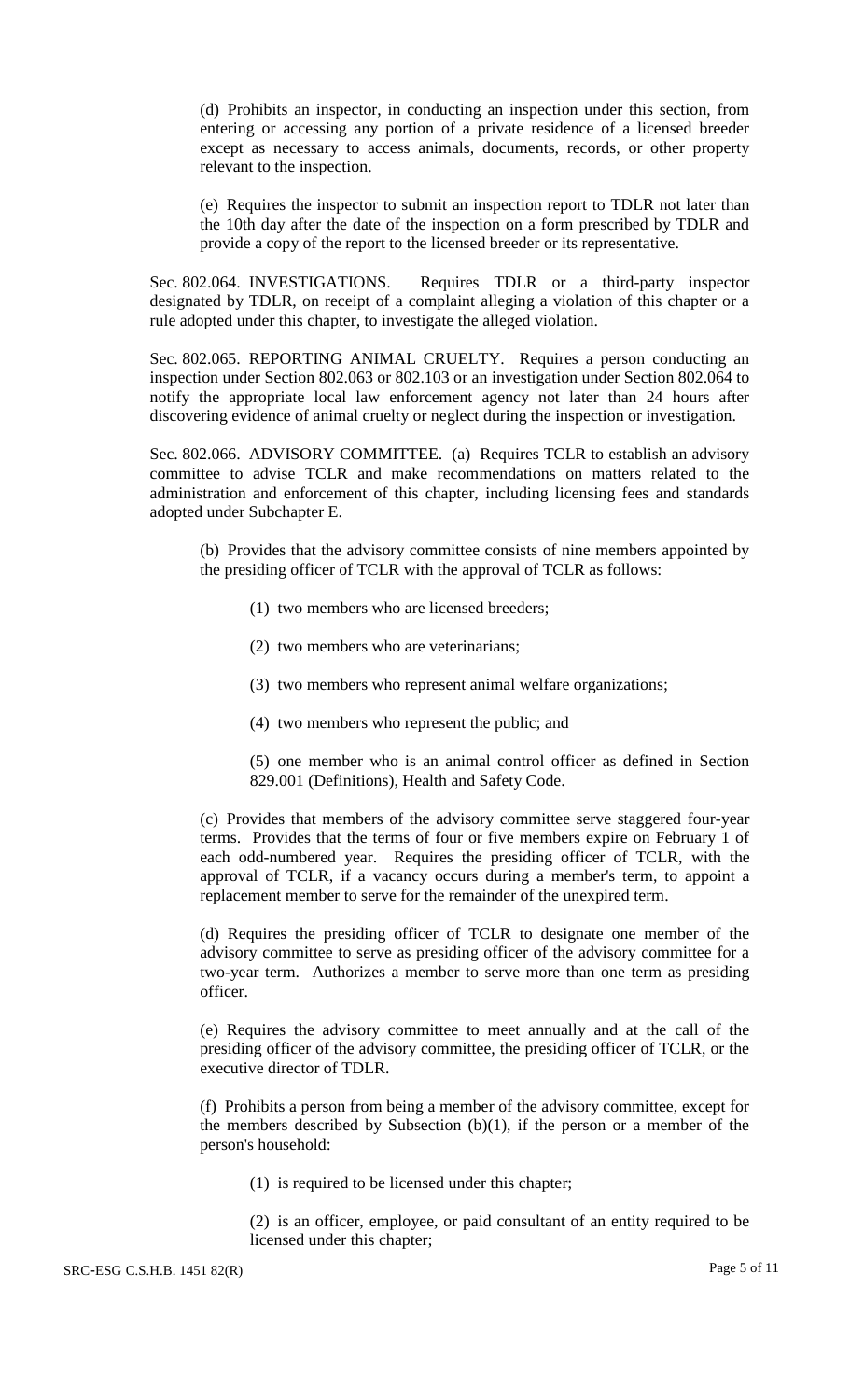(d) Prohibits an inspector, in conducting an inspection under this section, from entering or accessing any portion of a private residence of a licensed breeder except as necessary to access animals, documents, records, or other property relevant to the inspection.

(e) Requires the inspector to submit an inspection report to TDLR not later than the 10th day after the date of the inspection on a form prescribed by TDLR and provide a copy of the report to the licensed breeder or its representative.

Sec. 802.064. INVESTIGATIONS. Requires TDLR or a third-party inspector designated by TDLR, on receipt of a complaint alleging a violation of this chapter or a rule adopted under this chapter, to investigate the alleged violation.

Sec. 802.065. REPORTING ANIMAL CRUELTY. Requires a person conducting an inspection under Section 802.063 or 802.103 or an investigation under Section 802.064 to notify the appropriate local law enforcement agency not later than 24 hours after discovering evidence of animal cruelty or neglect during the inspection or investigation.

Sec. 802.066. ADVISORY COMMITTEE. (a) Requires TCLR to establish an advisory committee to advise TCLR and make recommendations on matters related to the administration and enforcement of this chapter, including licensing fees and standards adopted under Subchapter E.

(b) Provides that the advisory committee consists of nine members appointed by the presiding officer of TCLR with the approval of TCLR as follows:

- (1) two members who are licensed breeders;
- (2) two members who are veterinarians;
- (3) two members who represent animal welfare organizations;
- (4) two members who represent the public; and

(5) one member who is an animal control officer as defined in Section 829.001 (Definitions), Health and Safety Code.

(c) Provides that members of the advisory committee serve staggered four-year terms. Provides that the terms of four or five members expire on February 1 of each odd-numbered year. Requires the presiding officer of TCLR, with the approval of TCLR, if a vacancy occurs during a member's term, to appoint a replacement member to serve for the remainder of the unexpired term.

(d) Requires the presiding officer of TCLR to designate one member of the advisory committee to serve as presiding officer of the advisory committee for a two-year term. Authorizes a member to serve more than one term as presiding officer.

(e) Requires the advisory committee to meet annually and at the call of the presiding officer of the advisory committee, the presiding officer of TCLR, or the executive director of TDLR.

(f) Prohibits a person from being a member of the advisory committee, except for the members described by Subsection  $(b)(1)$ , if the person or a member of the person's household:

(1) is required to be licensed under this chapter;

(2) is an officer, employee, or paid consultant of an entity required to be licensed under this chapter;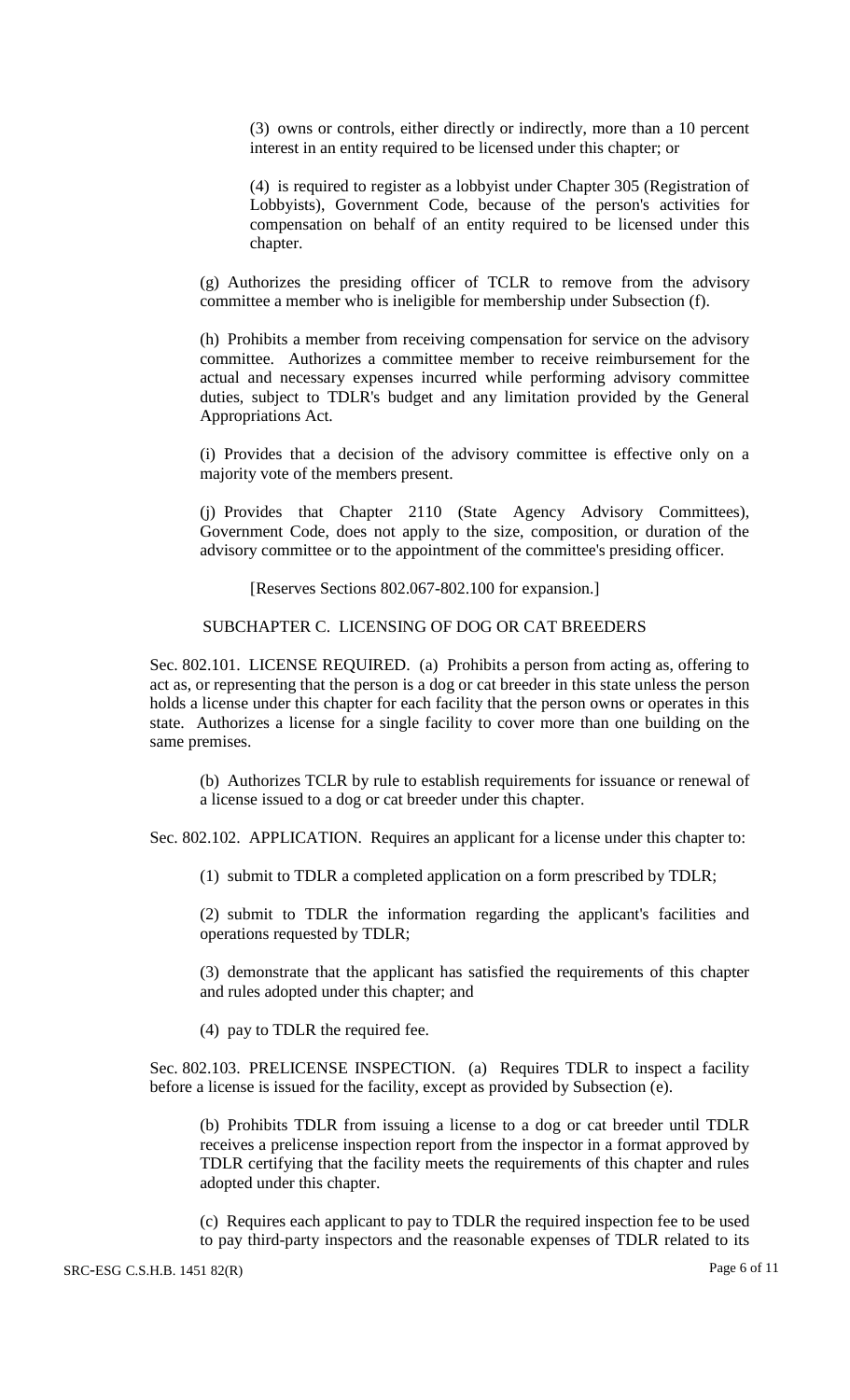(3) owns or controls, either directly or indirectly, more than a 10 percent interest in an entity required to be licensed under this chapter; or

(4) is required to register as a lobbyist under Chapter 305 (Registration of Lobbyists), Government Code, because of the person's activities for compensation on behalf of an entity required to be licensed under this chapter.

(g) Authorizes the presiding officer of TCLR to remove from the advisory committee a member who is ineligible for membership under Subsection (f).

(h) Prohibits a member from receiving compensation for service on the advisory committee. Authorizes a committee member to receive reimbursement for the actual and necessary expenses incurred while performing advisory committee duties, subject to TDLR's budget and any limitation provided by the General Appropriations Act.

(i) Provides that a decision of the advisory committee is effective only on a majority vote of the members present.

(j) Provides that Chapter 2110 (State Agency Advisory Committees), Government Code, does not apply to the size, composition, or duration of the advisory committee or to the appointment of the committee's presiding officer.

[Reserves Sections 802.067-802.100 for expansion.]

# SUBCHAPTER C. LICENSING OF DOG OR CAT BREEDERS

Sec. 802.101. LICENSE REQUIRED. (a) Prohibits a person from acting as, offering to act as, or representing that the person is a dog or cat breeder in this state unless the person holds a license under this chapter for each facility that the person owns or operates in this state. Authorizes a license for a single facility to cover more than one building on the same premises.

(b) Authorizes TCLR by rule to establish requirements for issuance or renewal of a license issued to a dog or cat breeder under this chapter.

Sec. 802.102. APPLICATION. Requires an applicant for a license under this chapter to:

(1) submit to TDLR a completed application on a form prescribed by TDLR;

(2) submit to TDLR the information regarding the applicant's facilities and operations requested by TDLR;

(3) demonstrate that the applicant has satisfied the requirements of this chapter and rules adopted under this chapter; and

(4) pay to TDLR the required fee.

Sec. 802.103. PRELICENSE INSPECTION. (a) Requires TDLR to inspect a facility before a license is issued for the facility, except as provided by Subsection (e).

(b) Prohibits TDLR from issuing a license to a dog or cat breeder until TDLR receives a prelicense inspection report from the inspector in a format approved by TDLR certifying that the facility meets the requirements of this chapter and rules adopted under this chapter.

(c) Requires each applicant to pay to TDLR the required inspection fee to be used to pay third-party inspectors and the reasonable expenses of TDLR related to its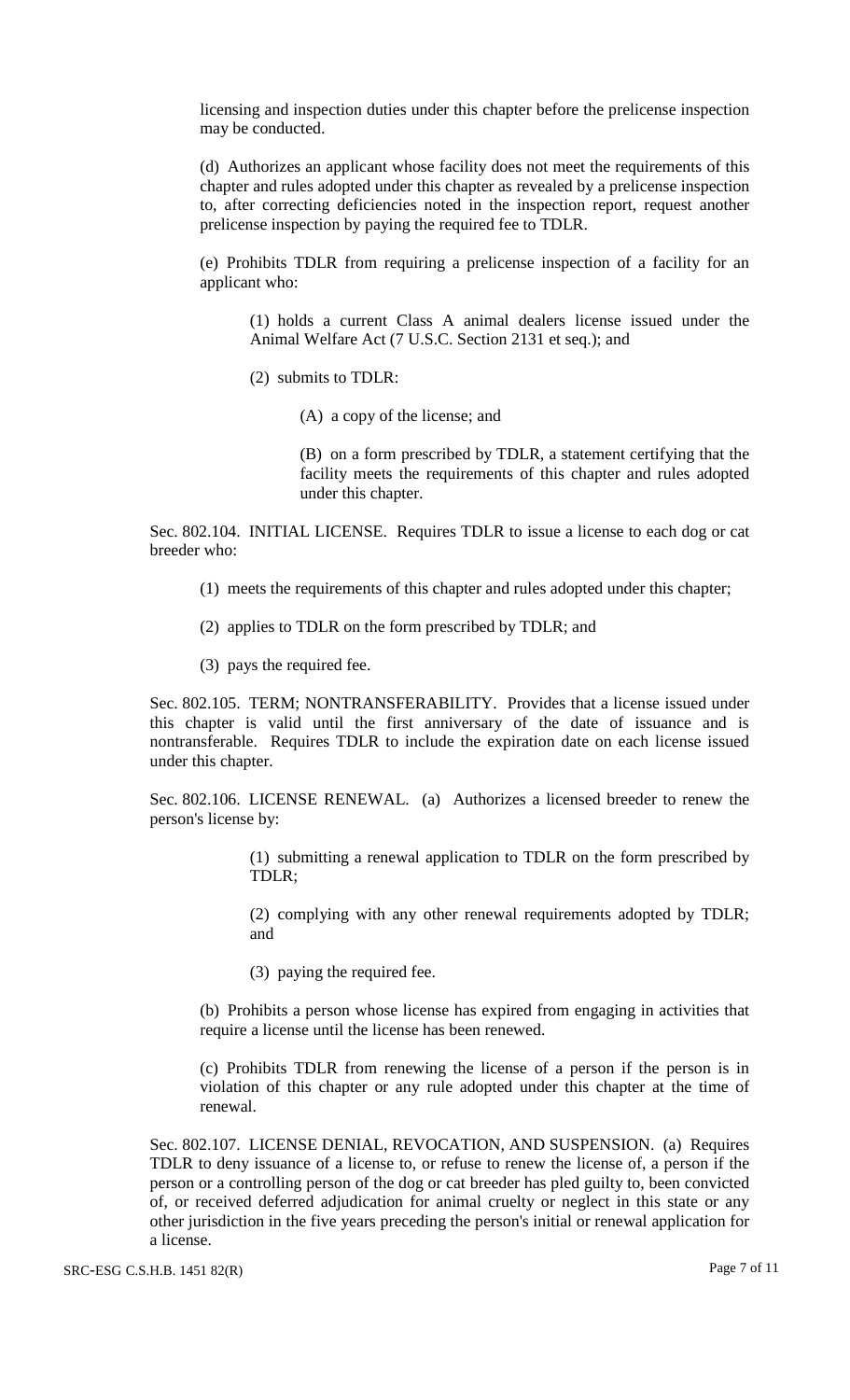licensing and inspection duties under this chapter before the prelicense inspection may be conducted.

(d) Authorizes an applicant whose facility does not meet the requirements of this chapter and rules adopted under this chapter as revealed by a prelicense inspection to, after correcting deficiencies noted in the inspection report, request another prelicense inspection by paying the required fee to TDLR.

(e) Prohibits TDLR from requiring a prelicense inspection of a facility for an applicant who:

(1) holds a current Class A animal dealers license issued under the Animal Welfare Act (7 U.S.C. Section 2131 et seq.); and

(2) submits to TDLR:

(A) a copy of the license; and

(B) on a form prescribed by TDLR, a statement certifying that the facility meets the requirements of this chapter and rules adopted under this chapter.

Sec. 802.104. INITIAL LICENSE. Requires TDLR to issue a license to each dog or cat breeder who:

- (1) meets the requirements of this chapter and rules adopted under this chapter;
- (2) applies to TDLR on the form prescribed by TDLR; and
- (3) pays the required fee.

Sec. 802.105. TERM; NONTRANSFERABILITY. Provides that a license issued under this chapter is valid until the first anniversary of the date of issuance and is nontransferable. Requires TDLR to include the expiration date on each license issued under this chapter.

Sec. 802.106. LICENSE RENEWAL. (a) Authorizes a licensed breeder to renew the person's license by:

> (1) submitting a renewal application to TDLR on the form prescribed by TDLR;

> (2) complying with any other renewal requirements adopted by TDLR; and

(3) paying the required fee.

(b) Prohibits a person whose license has expired from engaging in activities that require a license until the license has been renewed.

(c) Prohibits TDLR from renewing the license of a person if the person is in violation of this chapter or any rule adopted under this chapter at the time of renewal.

Sec. 802.107. LICENSE DENIAL, REVOCATION, AND SUSPENSION. (a) Requires TDLR to deny issuance of a license to, or refuse to renew the license of, a person if the person or a controlling person of the dog or cat breeder has pled guilty to, been convicted of, or received deferred adjudication for animal cruelty or neglect in this state or any other jurisdiction in the five years preceding the person's initial or renewal application for a license.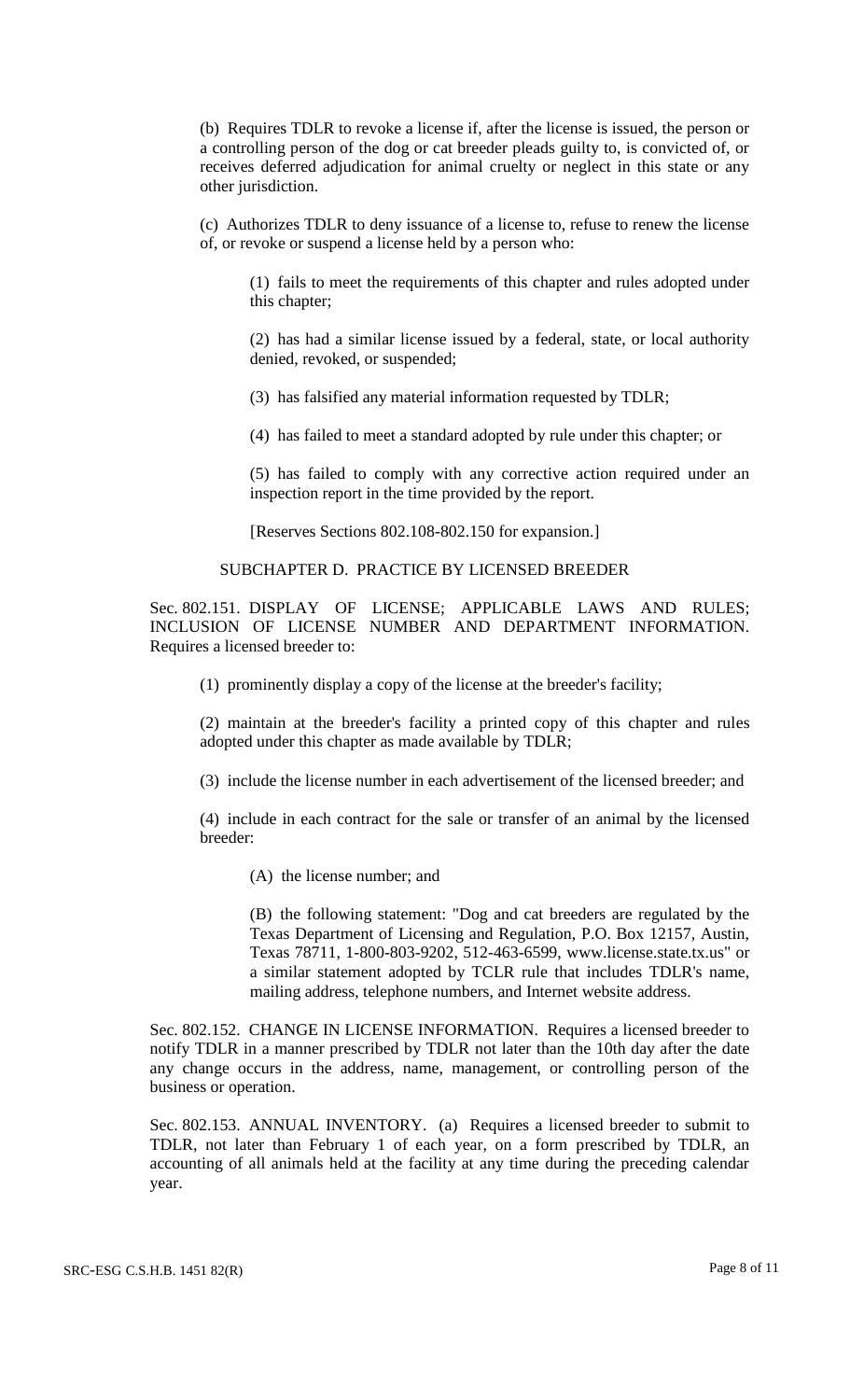(b) Requires TDLR to revoke a license if, after the license is issued, the person or a controlling person of the dog or cat breeder pleads guilty to, is convicted of, or receives deferred adjudication for animal cruelty or neglect in this state or any other jurisdiction.

(c) Authorizes TDLR to deny issuance of a license to, refuse to renew the license of, or revoke or suspend a license held by a person who:

(1) fails to meet the requirements of this chapter and rules adopted under this chapter;

(2) has had a similar license issued by a federal, state, or local authority denied, revoked, or suspended;

(3) has falsified any material information requested by TDLR;

(4) has failed to meet a standard adopted by rule under this chapter; or

(5) has failed to comply with any corrective action required under an inspection report in the time provided by the report.

[Reserves Sections 802.108-802.150 for expansion.]

#### SUBCHAPTER D. PRACTICE BY LICENSED BREEDER

Sec. 802.151. DISPLAY OF LICENSE; APPLICABLE LAWS AND RULES; INCLUSION OF LICENSE NUMBER AND DEPARTMENT INFORMATION. Requires a licensed breeder to:

(1) prominently display a copy of the license at the breeder's facility;

(2) maintain at the breeder's facility a printed copy of this chapter and rules adopted under this chapter as made available by TDLR;

(3) include the license number in each advertisement of the licensed breeder; and

(4) include in each contract for the sale or transfer of an animal by the licensed breeder:

(A) the license number; and

(B) the following statement: "Dog and cat breeders are regulated by the Texas Department of Licensing and Regulation, P.O. Box 12157, Austin, Texas 78711, 1-800-803-9202, 512-463-6599, www.license.state.tx.us" or a similar statement adopted by TCLR rule that includes TDLR's name, mailing address, telephone numbers, and Internet website address.

Sec. 802.152. CHANGE IN LICENSE INFORMATION. Requires a licensed breeder to notify TDLR in a manner prescribed by TDLR not later than the 10th day after the date any change occurs in the address, name, management, or controlling person of the business or operation.

Sec. 802.153. ANNUAL INVENTORY. (a) Requires a licensed breeder to submit to TDLR, not later than February 1 of each year, on a form prescribed by TDLR, an accounting of all animals held at the facility at any time during the preceding calendar year.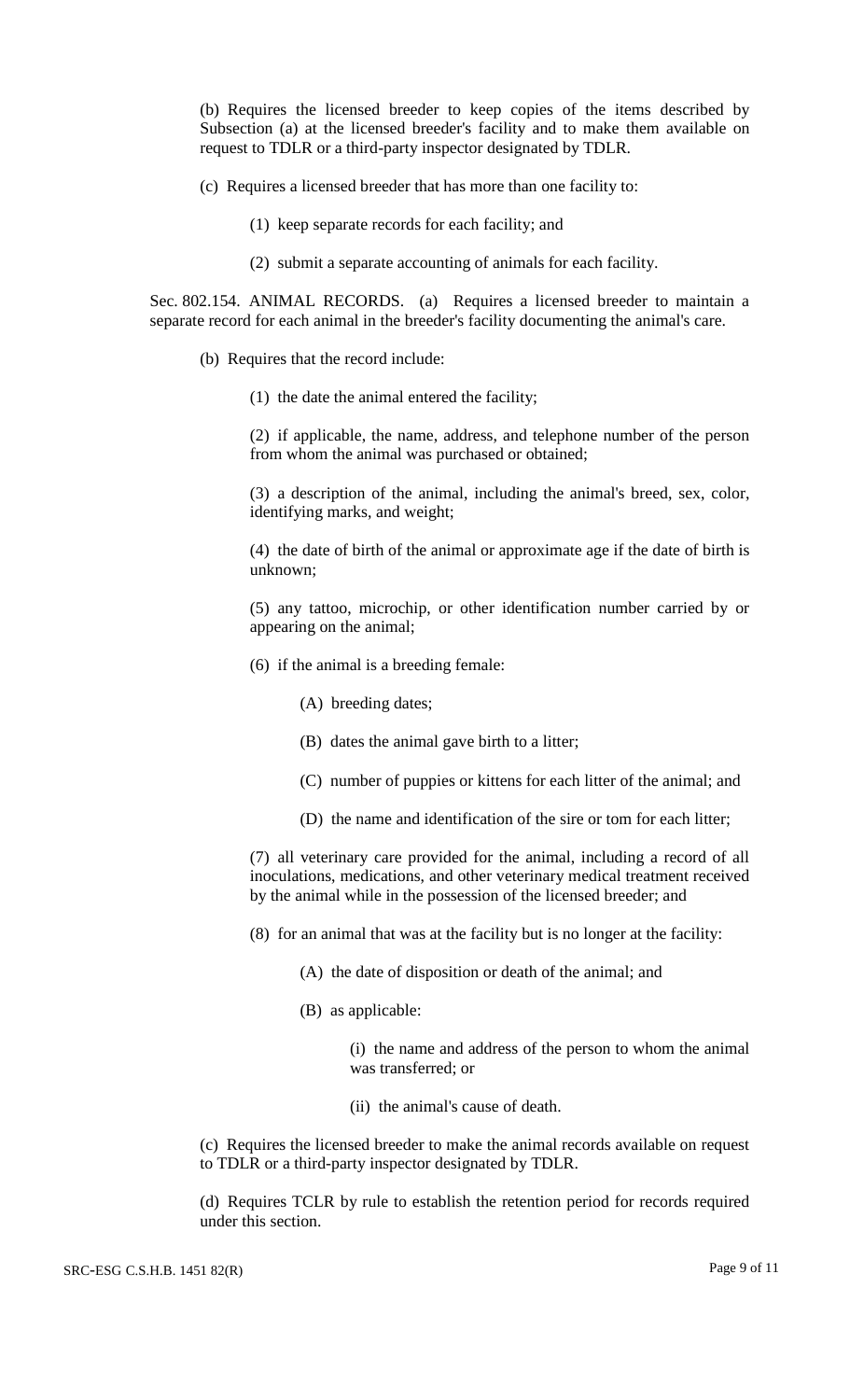(b) Requires the licensed breeder to keep copies of the items described by Subsection (a) at the licensed breeder's facility and to make them available on request to TDLR or a third-party inspector designated by TDLR.

(c) Requires a licensed breeder that has more than one facility to:

(1) keep separate records for each facility; and

(2) submit a separate accounting of animals for each facility.

Sec. 802.154. ANIMAL RECORDS. (a) Requires a licensed breeder to maintain a separate record for each animal in the breeder's facility documenting the animal's care.

- (b) Requires that the record include:
	- (1) the date the animal entered the facility;

(2) if applicable, the name, address, and telephone number of the person from whom the animal was purchased or obtained;

(3) a description of the animal, including the animal's breed, sex, color, identifying marks, and weight;

(4) the date of birth of the animal or approximate age if the date of birth is unknown;

(5) any tattoo, microchip, or other identification number carried by or appearing on the animal;

- (6) if the animal is a breeding female:
	- (A) breeding dates;
	- (B) dates the animal gave birth to a litter;
	- (C) number of puppies or kittens for each litter of the animal; and
	- (D) the name and identification of the sire or tom for each litter;

(7) all veterinary care provided for the animal, including a record of all inoculations, medications, and other veterinary medical treatment received by the animal while in the possession of the licensed breeder; and

(8) for an animal that was at the facility but is no longer at the facility:

- (A) the date of disposition or death of the animal; and
- (B) as applicable:

(i) the name and address of the person to whom the animal was transferred; or

(ii) the animal's cause of death.

(c) Requires the licensed breeder to make the animal records available on request to TDLR or a third-party inspector designated by TDLR.

(d) Requires TCLR by rule to establish the retention period for records required under this section.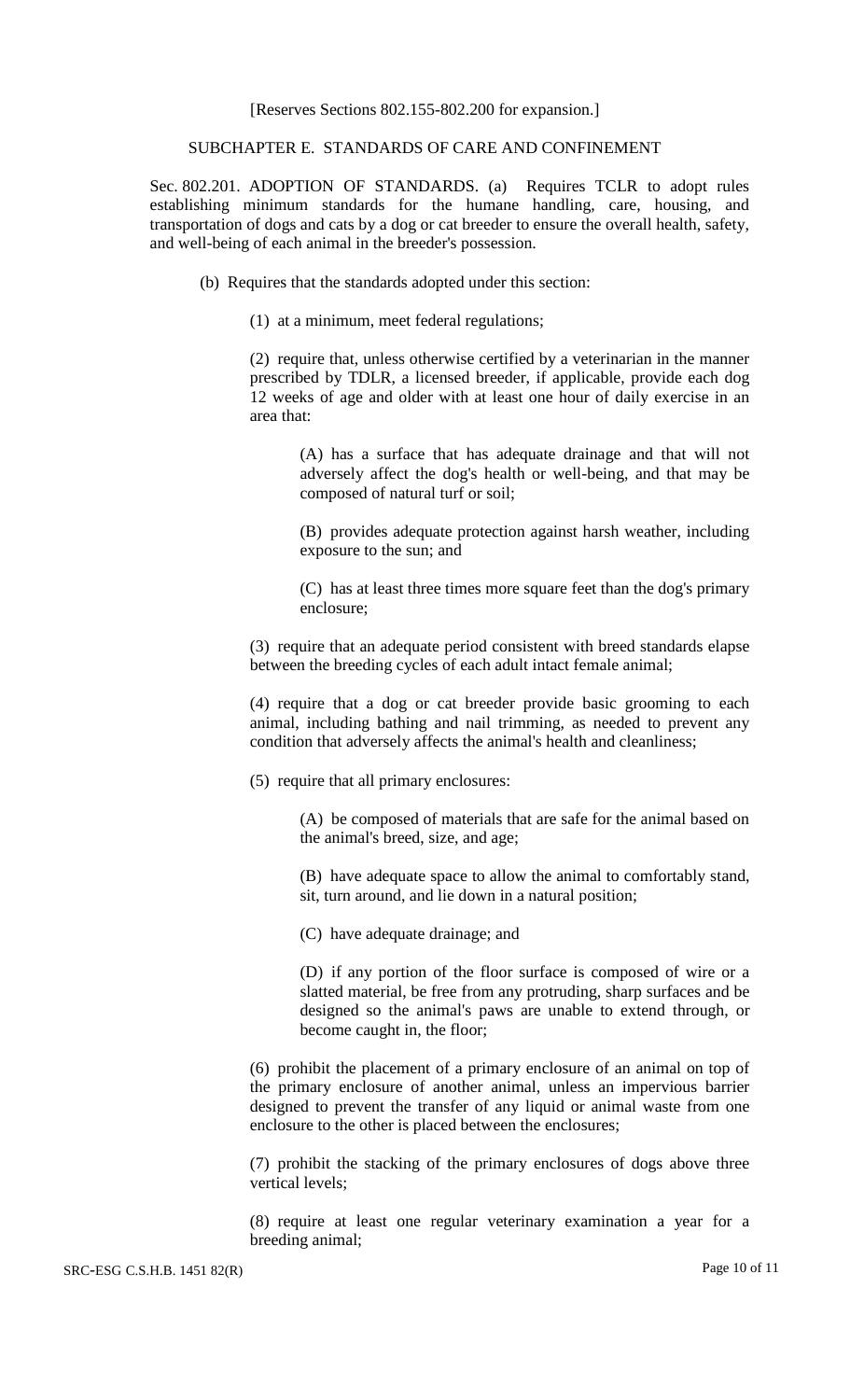[Reserves Sections 802.155-802.200 for expansion.]

#### SUBCHAPTER E. STANDARDS OF CARE AND CONFINEMENT

Sec. 802.201. ADOPTION OF STANDARDS. (a) Requires TCLR to adopt rules establishing minimum standards for the humane handling, care, housing, and transportation of dogs and cats by a dog or cat breeder to ensure the overall health, safety, and well-being of each animal in the breeder's possession.

(b) Requires that the standards adopted under this section:

(1) at a minimum, meet federal regulations;

(2) require that, unless otherwise certified by a veterinarian in the manner prescribed by TDLR, a licensed breeder, if applicable, provide each dog 12 weeks of age and older with at least one hour of daily exercise in an area that:

(A) has a surface that has adequate drainage and that will not adversely affect the dog's health or well-being, and that may be composed of natural turf or soil;

(B) provides adequate protection against harsh weather, including exposure to the sun; and

(C) has at least three times more square feet than the dog's primary enclosure;

(3) require that an adequate period consistent with breed standards elapse between the breeding cycles of each adult intact female animal;

(4) require that a dog or cat breeder provide basic grooming to each animal, including bathing and nail trimming, as needed to prevent any condition that adversely affects the animal's health and cleanliness;

(5) require that all primary enclosures:

(A) be composed of materials that are safe for the animal based on the animal's breed, size, and age;

(B) have adequate space to allow the animal to comfortably stand, sit, turn around, and lie down in a natural position;

(C) have adequate drainage; and

(D) if any portion of the floor surface is composed of wire or a slatted material, be free from any protruding, sharp surfaces and be designed so the animal's paws are unable to extend through, or become caught in, the floor;

(6) prohibit the placement of a primary enclosure of an animal on top of the primary enclosure of another animal, unless an impervious barrier designed to prevent the transfer of any liquid or animal waste from one enclosure to the other is placed between the enclosures;

(7) prohibit the stacking of the primary enclosures of dogs above three vertical levels;

(8) require at least one regular veterinary examination a year for a breeding animal;